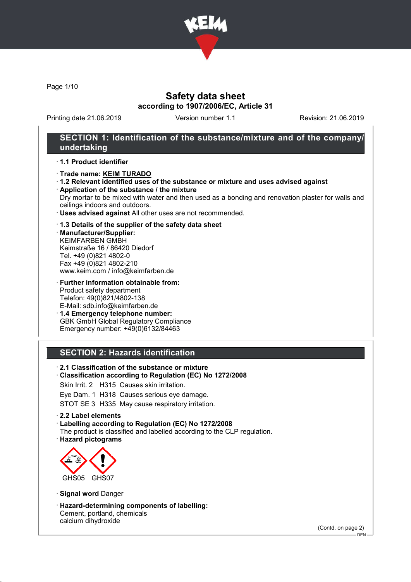

Page 1/10

## Safety data sheet according to 1907/2006/EC, Article 31

Printing date 21.06.2019 Version number 1.1 Revision: 21.06.2019

## SECTION 1: Identification of the substance/mixture and of the company/ undertaking

#### · 1.1 Product identifier

- · Trade name: KEIM TURADO
- · 1.2 Relevant identified uses of the substance or mixture and uses advised against

· Application of the substance / the mixture Dry mortar to be mixed with water and then used as a bonding and renovation plaster for walls and ceilings indoors and outdoors.

· Uses advised against All other uses are not recommended.

#### · 1.3 Details of the supplier of the safety data sheet

· Manufacturer/Supplier: KEIMFARBEN GMBH Keimstraße 16 / 86420 Diedorf Tel. +49 (0)821 4802-0 Fax +49 (0)821 4802-210 www.keim.com / info@keimfarben.de

· Further information obtainable from: Product safety department Telefon: 49(0)821/4802-138 E-Mail: sdb.info@keimfarben.de

· 1.4 Emergency telephone number: GBK GmbH Global Regulatory Compliance Emergency number: +49(0)6132/84463

### SECTION 2: Hazards identification

- · 2.1 Classification of the substance or mixture
- · Classification according to Regulation (EC) No 1272/2008
- Skin Irrit. 2 H315 Causes skin irritation.
- Eye Dam. 1 H318 Causes serious eye damage.

STOT SE 3 H335 May cause respiratory irritation.

#### · 2.2 Label elements

· Labelling according to Regulation (EC) No 1272/2008

- The product is classified and labelled according to the CLP regulation.
- · Hazard pictograms



- · Signal word Danger
- · Hazard-determining components of labelling: Cement, portland, chemicals calcium dihydroxide

(Contd. on page 2)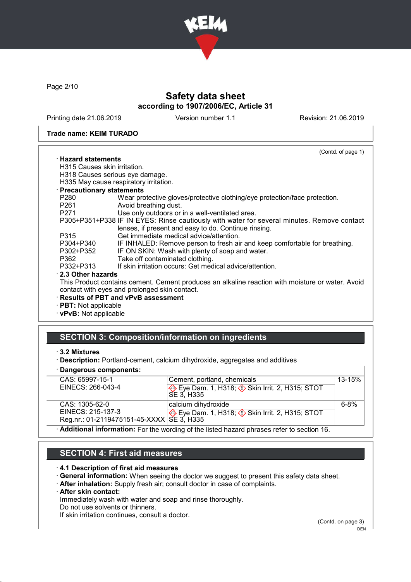

Page 2/10

# Safety data sheet according to 1907/2006/EC, Article 31

Printing date 21.06.2019 Version number 1.1 Revision: 21.06.2019

#### Trade name: KEIM TURADO

|                              | (Contd. of page 1)                                                                               |
|------------------------------|--------------------------------------------------------------------------------------------------|
| $\cdot$ Hazard statements    |                                                                                                  |
| H315 Causes skin irritation. |                                                                                                  |
|                              | H318 Causes serious eye damage.                                                                  |
|                              | H335 May cause respiratory irritation.                                                           |
| · Precautionary statements   |                                                                                                  |
| P280                         | Wear protective gloves/protective clothing/eye protection/face protection.                       |
| P261 <b>P26</b>              | Avoid breathing dust.                                                                            |
| P271 20                      | Use only outdoors or in a well-ventilated area.                                                  |
|                              | P305+P351+P338 IF IN EYES: Rinse cautiously with water for several minutes. Remove contact       |
|                              | lenses, if present and easy to do. Continue rinsing.                                             |
| P315                         | Get immediate medical advice/attention.                                                          |
| P304+P340                    | IF INHALED: Remove person to fresh air and keep comfortable for breathing.                       |
| P302+P352                    | IF ON SKIN: Wash with plenty of soap and water.                                                  |
| P362                         | Take off contaminated clothing.                                                                  |
| P332+P313                    | If skin irritation occurs: Get medical advice/attention.                                         |
| 2.3 Other hazards            |                                                                                                  |
|                              | This Product contains cement. Cement produces an alkaline reaction with moisture or water. Avoid |
|                              | contact with eyes and prolonged skin contact.                                                    |
|                              | · Results of PBT and vPvB assessment                                                             |
| $\cdot$ PBT: Not applicable  |                                                                                                  |
| $\cdot$ vPvB: Not applicable |                                                                                                  |

## SECTION 3: Composition/information on ingredients

<sup>·</sup> Description: Portland-cement, calcium dihydroxide, aggregates and additives

|  |  | · Dangerous components: |
|--|--|-------------------------|
|--|--|-------------------------|

| CAS: 65997-15-1                                                                          | Cement, portland, chemicals                                          | $13 - 15%$ |
|------------------------------------------------------------------------------------------|----------------------------------------------------------------------|------------|
| EINECS: 266-043-4                                                                        | Eye Dam. 1, H318; $\Diamond$ Skin Irrit. 2, H315; STOT<br>SE 3. H335 |            |
| CAS: 1305-62-0                                                                           | calcium dihydroxide                                                  | $6 - 8%$   |
| EINECS: 215-137-3                                                                        | Eye Dam. 1, H318; $\Diamond$ Skin Irrit. 2, H315; STOT               |            |
| Reg.nr.: 01-2119475151-45-XXXX SE 3, H335                                                |                                                                      |            |
| Additional information: Ear the wording of the listed bazard phrases refer to section 16 |                                                                      |            |

· Additional information: For the wording of the listed hazard phrases refer to section 16.

## SECTION 4: First aid measures

#### · 4.1 Description of first aid measures

- · General information: When seeing the doctor we suggest to present this safety data sheet.
- · After inhalation: Supply fresh air; consult doctor in case of complaints.
- · After skin contact:

Immediately wash with water and soap and rinse thoroughly.

Do not use solvents or thinners.

If skin irritation continues, consult a doctor.

(Contd. on page 3)  $-$  DEN -

<sup>·</sup> 3.2 Mixtures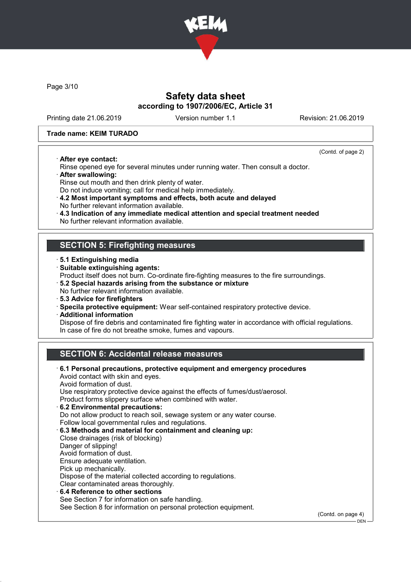

Page 3/10

## Safety data sheet according to 1907/2006/EC, Article 31

Printing date 21.06.2019 Version number 1.1 Revision: 21.06.2019

(Contd. of page 2)

 $-$  DEN

#### Trade name: KEIM TURADO

· After eye contact:

Rinse opened eye for several minutes under running water. Then consult a doctor.

· After swallowing:

Rinse out mouth and then drink plenty of water.

Do not induce vomiting; call for medical help immediately.

- · 4.2 Most important symptoms and effects, both acute and delayed No further relevant information available.
- · 4.3 Indication of any immediate medical attention and special treatment needed
- No further relevant information available.

## SECTION 5: Firefighting measures

- · 5.1 Extinguishing media
- · Suitable extinguishing agents:
- Product itself does not burn. Co-ordinate fire-fighting measures to the fire surroundings.
- · 5.2 Special hazards arising from the substance or mixture
- No further relevant information available.
- · 5.3 Advice for firefighters
- · Specila protective equipment: Wear self-contained respiratory protective device.
- · Additional information

Dispose of fire debris and contaminated fire fighting water in accordance with official regulations. In case of fire do not breathe smoke, fumes and vapours.

# SECTION 6: Accidental release measures

· 6.1 Personal precautions, protective equipment and emergency procedures Avoid contact with skin and eyes. Avoid formation of dust. Use respiratory protective device against the effects of fumes/dust/aerosol. Product forms slippery surface when combined with water. · 6.2 Environmental precautions: Do not allow product to reach soil, sewage system or any water course. Follow local governmental rules and regulations. · 6.3 Methods and material for containment and cleaning up: Close drainages (risk of blocking) Danger of slipping! Avoid formation of dust. Ensure adequate ventilation. Pick up mechanically. Dispose of the material collected according to regulations. Clear contaminated areas thoroughly. 6.4 Reference to other sections See Section 7 for information on safe handling. See Section 8 for information on personal protection equipment. (Contd. on page 4)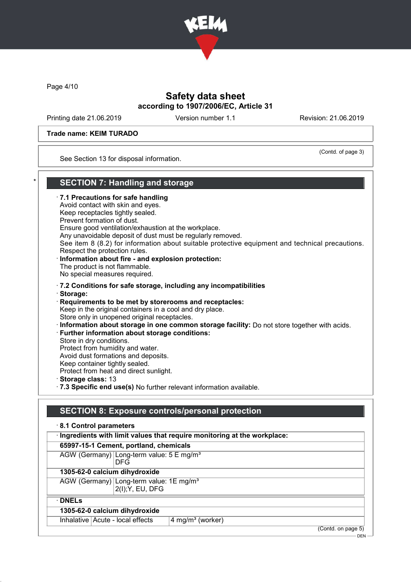

Page 4/10

# Safety data sheet according to 1907/2006/EC, Article 31

Printing date 21.06.2019 Version number 1.1 Revision: 21.06.2019

(Contd. of page 3)

#### Trade name: KEIM TURADO

See Section 13 for disposal information.

### **SECTION 7: Handling and storage**

· 7.1 Precautions for safe handling Avoid contact with skin and eyes. Keep receptacles tightly sealed. Prevent formation of dust. Ensure good ventilation/exhaustion at the workplace. Any unavoidable deposit of dust must be regularly removed. See item 8 (8.2) for information about suitable protective equipment and technical precautions. Respect the protection rules. · Information about fire - and explosion protection: The product is not flammable. No special measures required. · 7.2 Conditions for safe storage, including any incompatibilities · Storage: · Requirements to be met by storerooms and receptacles: Keep in the original containers in a cool and dry place. Store only in unopened original receptacles. · Information about storage in one common storage facility: Do not store together with acids. · Further information about storage conditions: Store in dry conditions. Protect from humidity and water. Avoid dust formations and deposits. Keep container tightly sealed. Protect from heat and direct sunlight. · Storage class: 13 · 7.3 Specific end use(s) No further relevant information available.

## SECTION 8: Exposure controls/personal protection

| 8.1 Control parameters<br>· Ingredients with limit values that require monitoring at the workplace: |                                        |                    |  |
|-----------------------------------------------------------------------------------------------------|----------------------------------------|--------------------|--|
|                                                                                                     | 65997-15-1 Cement, portland, chemicals |                    |  |
| AGW (Germany) Long-term value: 5 E mg/m <sup>3</sup><br><b>DFG</b>                                  |                                        |                    |  |
| 1305-62-0 calcium dihydroxide                                                                       |                                        |                    |  |
| AGW (Germany) Long-term value: 1E mg/m <sup>3</sup><br>2(I); Y, EU, DFG                             |                                        |                    |  |
| $\cdot$ DNELs                                                                                       |                                        |                    |  |
| 1305-62-0 calcium dihydroxide                                                                       |                                        |                    |  |
| Inhalative Acute - local effects                                                                    | 4 mg/m <sup>3</sup> (worker)           |                    |  |
|                                                                                                     |                                        | (Contd. on page 5) |  |

DEN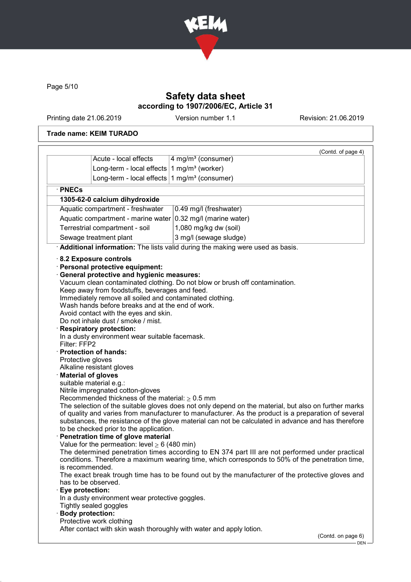

Page 5/10

# Safety data sheet according to 1907/2006/EC, Article 31

Printing date 21.06.2019 Version number 1.1 Revision: 21.06.2019

### Trade name: KEIM TURADO

| 4 mg/m <sup>3</sup> (consumer)<br>1 mg/m $3$ (worker)<br>Long-term - local effects<br>Long-term - local effects $1$ mg/m <sup>3</sup> (consumer)<br>· PNECs<br>1305-62-0 calcium dihydroxide<br>Aquatic compartment - freshwater<br>0.49 mg/l (freshwater)<br>Aquatic compartment - marine water $ 0.32 \text{ mg/II}$ (marine water)<br>1,080 mg/kg dw (soil)<br>Terrestrial compartment - soil<br>Sewage treatment plant<br>3 mg/l (sewage sludge)<br>Additional information: The lists valid during the making were used as basis.<br>8.2 Exposure controls<br>· Personal protective equipment:<br><b>General protective and hygienic measures:</b><br>Vacuum clean contaminated clothing. Do not blow or brush off contamination.<br>Keep away from foodstuffs, beverages and feed.<br>Immediately remove all soiled and contaminated clothing.<br>Wash hands before breaks and at the end of work.<br>Avoid contact with the eyes and skin.<br>Do not inhale dust / smoke / mist.<br><b>Respiratory protection:</b><br>In a dusty environment wear suitable facemask.<br>Filter: FFP2<br>· Protection of hands:<br>Protective gloves<br>Alkaline resistant gloves<br><b>Material of gloves</b><br>suitable material e.g.:<br>Nitrile impregnated cotton-gloves<br>Recommended thickness of the material: $\geq 0.5$ mm | The selection of the suitable gloves does not only depend on the material, but also on further marks<br>of quality and varies from manufacturer to manufacturer. As the product is a preparation of several<br>substances, the resistance of the glove material can not be calculated in advance and has therefore<br>to be checked prior to the application.<br>Penetration time of glove material<br>Value for the permeation: level $\geq 6$ (480 min)<br>The determined penetration times according to EN 374 part III are not performed under practical<br>conditions. Therefore a maximum wearing time, which corresponds to 50% of the penetration time,<br>is recommended.<br>The exact break trough time has to be found out by the manufacturer of the protective gloves and<br>has to be observed. |                       | (Contd. of page 4) |
|-----------------------------------------------------------------------------------------------------------------------------------------------------------------------------------------------------------------------------------------------------------------------------------------------------------------------------------------------------------------------------------------------------------------------------------------------------------------------------------------------------------------------------------------------------------------------------------------------------------------------------------------------------------------------------------------------------------------------------------------------------------------------------------------------------------------------------------------------------------------------------------------------------------------------------------------------------------------------------------------------------------------------------------------------------------------------------------------------------------------------------------------------------------------------------------------------------------------------------------------------------------------------------------------------------------------------------|---------------------------------------------------------------------------------------------------------------------------------------------------------------------------------------------------------------------------------------------------------------------------------------------------------------------------------------------------------------------------------------------------------------------------------------------------------------------------------------------------------------------------------------------------------------------------------------------------------------------------------------------------------------------------------------------------------------------------------------------------------------------------------------------------------------|-----------------------|--------------------|
|                                                                                                                                                                                                                                                                                                                                                                                                                                                                                                                                                                                                                                                                                                                                                                                                                                                                                                                                                                                                                                                                                                                                                                                                                                                                                                                             |                                                                                                                                                                                                                                                                                                                                                                                                                                                                                                                                                                                                                                                                                                                                                                                                               | Acute - local effects |                    |
|                                                                                                                                                                                                                                                                                                                                                                                                                                                                                                                                                                                                                                                                                                                                                                                                                                                                                                                                                                                                                                                                                                                                                                                                                                                                                                                             |                                                                                                                                                                                                                                                                                                                                                                                                                                                                                                                                                                                                                                                                                                                                                                                                               |                       |                    |
|                                                                                                                                                                                                                                                                                                                                                                                                                                                                                                                                                                                                                                                                                                                                                                                                                                                                                                                                                                                                                                                                                                                                                                                                                                                                                                                             |                                                                                                                                                                                                                                                                                                                                                                                                                                                                                                                                                                                                                                                                                                                                                                                                               |                       |                    |
|                                                                                                                                                                                                                                                                                                                                                                                                                                                                                                                                                                                                                                                                                                                                                                                                                                                                                                                                                                                                                                                                                                                                                                                                                                                                                                                             |                                                                                                                                                                                                                                                                                                                                                                                                                                                                                                                                                                                                                                                                                                                                                                                                               |                       |                    |
|                                                                                                                                                                                                                                                                                                                                                                                                                                                                                                                                                                                                                                                                                                                                                                                                                                                                                                                                                                                                                                                                                                                                                                                                                                                                                                                             |                                                                                                                                                                                                                                                                                                                                                                                                                                                                                                                                                                                                                                                                                                                                                                                                               |                       |                    |
|                                                                                                                                                                                                                                                                                                                                                                                                                                                                                                                                                                                                                                                                                                                                                                                                                                                                                                                                                                                                                                                                                                                                                                                                                                                                                                                             |                                                                                                                                                                                                                                                                                                                                                                                                                                                                                                                                                                                                                                                                                                                                                                                                               |                       |                    |
|                                                                                                                                                                                                                                                                                                                                                                                                                                                                                                                                                                                                                                                                                                                                                                                                                                                                                                                                                                                                                                                                                                                                                                                                                                                                                                                             |                                                                                                                                                                                                                                                                                                                                                                                                                                                                                                                                                                                                                                                                                                                                                                                                               |                       |                    |
|                                                                                                                                                                                                                                                                                                                                                                                                                                                                                                                                                                                                                                                                                                                                                                                                                                                                                                                                                                                                                                                                                                                                                                                                                                                                                                                             |                                                                                                                                                                                                                                                                                                                                                                                                                                                                                                                                                                                                                                                                                                                                                                                                               |                       |                    |
|                                                                                                                                                                                                                                                                                                                                                                                                                                                                                                                                                                                                                                                                                                                                                                                                                                                                                                                                                                                                                                                                                                                                                                                                                                                                                                                             |                                                                                                                                                                                                                                                                                                                                                                                                                                                                                                                                                                                                                                                                                                                                                                                                               |                       |                    |
|                                                                                                                                                                                                                                                                                                                                                                                                                                                                                                                                                                                                                                                                                                                                                                                                                                                                                                                                                                                                                                                                                                                                                                                                                                                                                                                             |                                                                                                                                                                                                                                                                                                                                                                                                                                                                                                                                                                                                                                                                                                                                                                                                               |                       |                    |
| Eye protection:                                                                                                                                                                                                                                                                                                                                                                                                                                                                                                                                                                                                                                                                                                                                                                                                                                                                                                                                                                                                                                                                                                                                                                                                                                                                                                             | In a dusty environment wear protective goggles.<br>Tightly sealed goggles<br><b>Body protection:</b>                                                                                                                                                                                                                                                                                                                                                                                                                                                                                                                                                                                                                                                                                                          |                       |                    |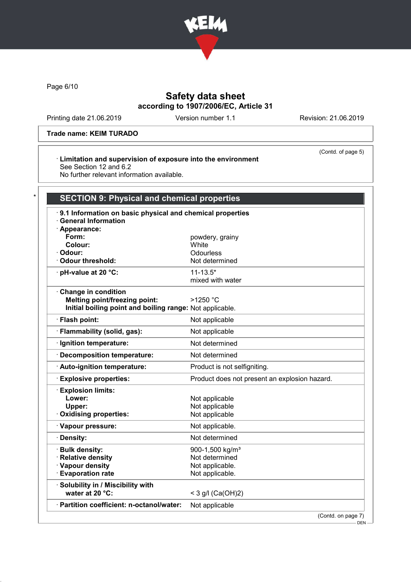

Page 6/10

# Safety data sheet according to 1907/2006/EC, Article 31

Printing date 21.06.2019 Version number 1.1 Revision: 21.06.2019

(Contd. of page 5)

### Trade name: KEIM TURADO

#### · Limitation and supervision of exposure into the environment See Section 12 and 6.2

No further relevant information available.

| · Appearance:<br>Form:<br>powdery, grainy<br>Colour:<br>White<br>Odourless<br>· Odour:<br><b>Odour threshold:</b><br>Not determined<br>· pH-value at 20 °C:<br>$11 - 13.5*$<br>mixed with water<br>Change in condition<br><b>Melting point/freezing point:</b><br>$>1250$ °C<br>Initial boiling point and boiling range: Not applicable.<br>· Flash point:<br>Not applicable<br>· Flammability (solid, gas):<br>Not applicable<br>Not determined<br>· Ignition temperature:<br>Decomposition temperature:<br>Not determined<br>· Auto-ignition temperature:<br>Product is not selfigniting.<br><b>Explosive properties:</b><br>Product does not present an explosion hazard.<br><b>Explosion limits:</b><br>Lower:<br>Not applicable<br>Upper:<br>Not applicable<br>Oxidising properties:<br>Not applicable<br>· Vapour pressure:<br>Not applicable.<br>Not determined<br>· Density:<br>· Bulk density:<br>900-1,500 kg/m <sup>3</sup><br>· Relative density<br>Not determined<br>· Vapour density<br>Not applicable.<br><b>Evaporation rate</b><br>Not applicable.<br>· Solubility in / Miscibility with<br>water at 20 °C:<br>< 3 g/l $(Ca(OH)2)$ | 9.1 Information on basic physical and chemical properties<br><b>General Information</b> |  |
|-----------------------------------------------------------------------------------------------------------------------------------------------------------------------------------------------------------------------------------------------------------------------------------------------------------------------------------------------------------------------------------------------------------------------------------------------------------------------------------------------------------------------------------------------------------------------------------------------------------------------------------------------------------------------------------------------------------------------------------------------------------------------------------------------------------------------------------------------------------------------------------------------------------------------------------------------------------------------------------------------------------------------------------------------------------------------------------------------------------------------------------------------------|-----------------------------------------------------------------------------------------|--|
|                                                                                                                                                                                                                                                                                                                                                                                                                                                                                                                                                                                                                                                                                                                                                                                                                                                                                                                                                                                                                                                                                                                                                     |                                                                                         |  |
|                                                                                                                                                                                                                                                                                                                                                                                                                                                                                                                                                                                                                                                                                                                                                                                                                                                                                                                                                                                                                                                                                                                                                     |                                                                                         |  |
|                                                                                                                                                                                                                                                                                                                                                                                                                                                                                                                                                                                                                                                                                                                                                                                                                                                                                                                                                                                                                                                                                                                                                     |                                                                                         |  |
|                                                                                                                                                                                                                                                                                                                                                                                                                                                                                                                                                                                                                                                                                                                                                                                                                                                                                                                                                                                                                                                                                                                                                     |                                                                                         |  |
|                                                                                                                                                                                                                                                                                                                                                                                                                                                                                                                                                                                                                                                                                                                                                                                                                                                                                                                                                                                                                                                                                                                                                     |                                                                                         |  |
|                                                                                                                                                                                                                                                                                                                                                                                                                                                                                                                                                                                                                                                                                                                                                                                                                                                                                                                                                                                                                                                                                                                                                     |                                                                                         |  |
|                                                                                                                                                                                                                                                                                                                                                                                                                                                                                                                                                                                                                                                                                                                                                                                                                                                                                                                                                                                                                                                                                                                                                     |                                                                                         |  |
|                                                                                                                                                                                                                                                                                                                                                                                                                                                                                                                                                                                                                                                                                                                                                                                                                                                                                                                                                                                                                                                                                                                                                     |                                                                                         |  |
|                                                                                                                                                                                                                                                                                                                                                                                                                                                                                                                                                                                                                                                                                                                                                                                                                                                                                                                                                                                                                                                                                                                                                     |                                                                                         |  |
|                                                                                                                                                                                                                                                                                                                                                                                                                                                                                                                                                                                                                                                                                                                                                                                                                                                                                                                                                                                                                                                                                                                                                     |                                                                                         |  |
|                                                                                                                                                                                                                                                                                                                                                                                                                                                                                                                                                                                                                                                                                                                                                                                                                                                                                                                                                                                                                                                                                                                                                     |                                                                                         |  |
|                                                                                                                                                                                                                                                                                                                                                                                                                                                                                                                                                                                                                                                                                                                                                                                                                                                                                                                                                                                                                                                                                                                                                     |                                                                                         |  |
|                                                                                                                                                                                                                                                                                                                                                                                                                                                                                                                                                                                                                                                                                                                                                                                                                                                                                                                                                                                                                                                                                                                                                     |                                                                                         |  |
|                                                                                                                                                                                                                                                                                                                                                                                                                                                                                                                                                                                                                                                                                                                                                                                                                                                                                                                                                                                                                                                                                                                                                     |                                                                                         |  |
|                                                                                                                                                                                                                                                                                                                                                                                                                                                                                                                                                                                                                                                                                                                                                                                                                                                                                                                                                                                                                                                                                                                                                     |                                                                                         |  |
|                                                                                                                                                                                                                                                                                                                                                                                                                                                                                                                                                                                                                                                                                                                                                                                                                                                                                                                                                                                                                                                                                                                                                     |                                                                                         |  |
|                                                                                                                                                                                                                                                                                                                                                                                                                                                                                                                                                                                                                                                                                                                                                                                                                                                                                                                                                                                                                                                                                                                                                     |                                                                                         |  |
|                                                                                                                                                                                                                                                                                                                                                                                                                                                                                                                                                                                                                                                                                                                                                                                                                                                                                                                                                                                                                                                                                                                                                     |                                                                                         |  |
|                                                                                                                                                                                                                                                                                                                                                                                                                                                                                                                                                                                                                                                                                                                                                                                                                                                                                                                                                                                                                                                                                                                                                     |                                                                                         |  |
|                                                                                                                                                                                                                                                                                                                                                                                                                                                                                                                                                                                                                                                                                                                                                                                                                                                                                                                                                                                                                                                                                                                                                     |                                                                                         |  |
|                                                                                                                                                                                                                                                                                                                                                                                                                                                                                                                                                                                                                                                                                                                                                                                                                                                                                                                                                                                                                                                                                                                                                     |                                                                                         |  |
|                                                                                                                                                                                                                                                                                                                                                                                                                                                                                                                                                                                                                                                                                                                                                                                                                                                                                                                                                                                                                                                                                                                                                     |                                                                                         |  |
|                                                                                                                                                                                                                                                                                                                                                                                                                                                                                                                                                                                                                                                                                                                                                                                                                                                                                                                                                                                                                                                                                                                                                     |                                                                                         |  |
|                                                                                                                                                                                                                                                                                                                                                                                                                                                                                                                                                                                                                                                                                                                                                                                                                                                                                                                                                                                                                                                                                                                                                     |                                                                                         |  |
|                                                                                                                                                                                                                                                                                                                                                                                                                                                                                                                                                                                                                                                                                                                                                                                                                                                                                                                                                                                                                                                                                                                                                     |                                                                                         |  |
|                                                                                                                                                                                                                                                                                                                                                                                                                                                                                                                                                                                                                                                                                                                                                                                                                                                                                                                                                                                                                                                                                                                                                     |                                                                                         |  |
|                                                                                                                                                                                                                                                                                                                                                                                                                                                                                                                                                                                                                                                                                                                                                                                                                                                                                                                                                                                                                                                                                                                                                     |                                                                                         |  |
|                                                                                                                                                                                                                                                                                                                                                                                                                                                                                                                                                                                                                                                                                                                                                                                                                                                                                                                                                                                                                                                                                                                                                     |                                                                                         |  |

 $-$  DEN -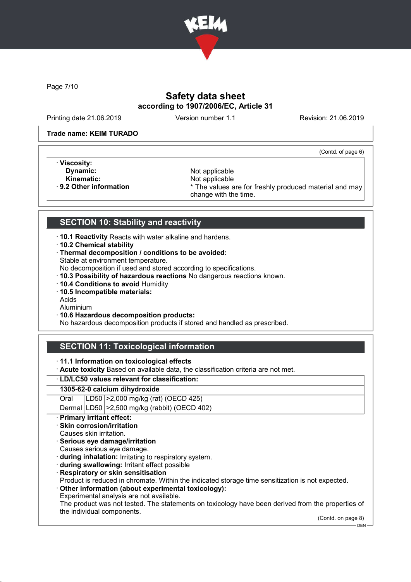

Page 7/10

# Safety data sheet according to 1907/2006/EC, Article 31

Printing date 21.06.2019 Version number 1.1 Revision: 21.06.2019

(Contd. of page 6)

### Trade name: KEIM TURADO

· Viscosity:

- 
- Kinematic: Not applicable<br> **Reduced A Set All Analysis 19 2 Other information**<br> **Reduced A Set All A Set All A Set All A Set All A Set All A Set All A Set All A Set All A Set All A Set All A Set A**

**Dynamic:** Not applicable Not applicable Not applicable Not applicable Not applicable Not applicable \* The values are for freshly produced material and may change with the time.

# SECTION 10: Stability and reactivity

- · 10.1 Reactivity Reacts with water alkaline and hardens.
- · 10.2 Chemical stability
- · Thermal decomposition / conditions to be avoided: Stable at environment temperature.
- No decomposition if used and stored according to specifications.
- · 10.3 Possibility of hazardous reactions No dangerous reactions known.
- · 10.4 Conditions to avoid Humidity
- · 10.5 Incompatible materials:
- Acids
- Aluminium
- · 10.6 Hazardous decomposition products:

No hazardous decomposition products if stored and handled as prescribed.

# SECTION 11: Toxicological information

- · 11.1 Information on toxicological effects
- · Acute toxicity Based on available data, the classification criteria are not met.

### · LD/LC50 values relevant for classification:

### 1305-62-0 calcium dihydroxide

Oral LD50 >2,000 mg/kg (rat) (OECD 425)

Dermal LD50 >2,500 mg/kg (rabbit) (OECD 402)

### Primary irritant effect:

- Skin corrosion/irritation
- Causes skin irritation.
- · Serious eye damage/irritation
- Causes serious eye damage.
- · during inhalation: Irritating to respiratory system.
- · during swallowing: Irritant effect possible
- · Respiratory or skin sensitisation

Product is reduced in chromate. Within the indicated storage time sensitization is not expected.

- · Other information (about experimental toxicology):
- Experimental analysis are not available.

The product was not tested. The statements on toxicology have been derived from the properties of the individual components.

(Contd. on page 8)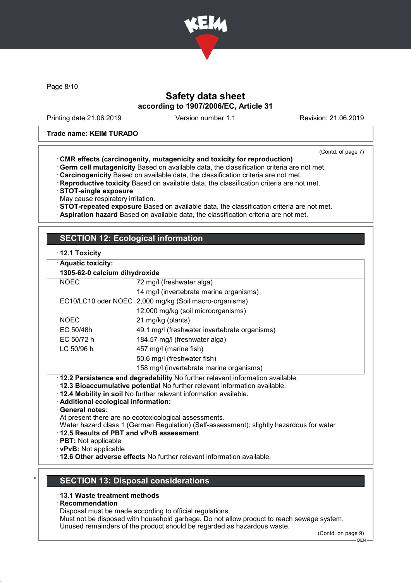

Page 8/10

## Safety data sheet according to 1907/2006/EC, Article 31

Printing date 21.06.2019 Version number 1.1 Revision: 21.06.2019

#### Trade name: KEIM TURADO

(Contd. of page 7)

- · CMR effects (carcinogenity, mutagenicity and toxicity for reproduction)
- · Germ cell mutagenicity Based on available data, the classification criteria are not met.
- · Carcinogenicity Based on available data, the classification criteria are not met.
- · Reproductive toxicity Based on available data, the classification criteria are not met.
- · STOT-single exposure
- May cause respiratory irritation.
- · STOT-repeated exposure Based on available data, the classification criteria are not met.
- · Aspiration hazard Based on available data, the classification criteria are not met.

# SECTION 12: Ecological information

### · 12.1 Toxicity

|  |  | · Aquatic toxicity: |
|--|--|---------------------|
|  |  |                     |

| 1305-62-0 calcium dihydroxide                                                   |                                                        |
|---------------------------------------------------------------------------------|--------------------------------------------------------|
| <b>NOEC</b>                                                                     | 72 mg/l (freshwater alga)                              |
|                                                                                 | 14 mg/l (invertebrate marine organisms)                |
|                                                                                 | EC10/LC10 oder NOEC 2,000 mg/kg (Soil macro-organisms) |
|                                                                                 | 12,000 mg/kg (soil microorganisms)                     |
| <b>NOEC</b>                                                                     | 21 mg/kg (plants)                                      |
| EC 50/48h                                                                       | 49.1 mg/l (freshwater invertebrate organisms)          |
| EC 50/72 h                                                                      | 184.57 mg/l (freshwater alga)                          |
| LC 50/96 h                                                                      | 457 mg/l (marine fish)                                 |
|                                                                                 | 50.6 mg/l (freshwater fish)                            |
|                                                                                 | 158 mg/l (invertebrate marine organisms)               |
| · 12.2 Persistence and degradability No further relevant information available. |                                                        |

- · 12.3 Bioaccumulative potential No further relevant information available.
- · 12.4 Mobility in soil No further relevant information available.
- · Additional ecological information:
- · General notes:
- At present there are no ecotoxicological assessments.
- Water hazard class 1 (German Regulation) (Self-assessment): slightly hazardous for water

### · 12.5 Results of PBT and vPvB assessment

- · PBT: Not applicable
- · vPvB: Not applicable
- · 12.6 Other adverse effects No further relevant information available.

### **SECTION 13: Disposal considerations**

### · 13.1 Waste treatment methods

· Recommendation

Disposal must be made according to official regulations.

Must not be disposed with household garbage. Do not allow product to reach sewage system.

Unused remainders of the product should be regarded as hazardous waste.

(Contd. on page 9)

 $-$  DEN -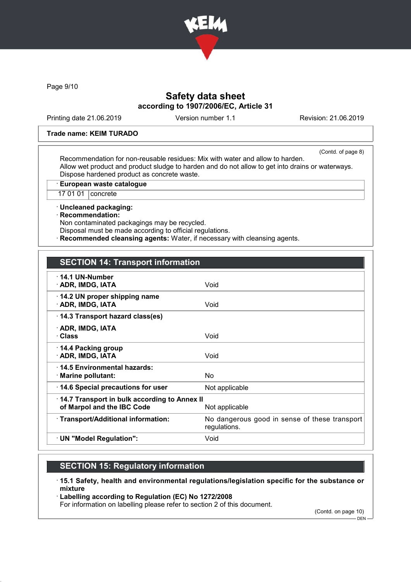

Page 9/10

# Safety data sheet according to 1907/2006/EC, Article 31

Printing date 21.06.2019 Version number 1.1 Revision: 21.06.2019

#### Trade name: KEIM TURADO

(Contd. of page 8)

Recommendation for non-reusable residues: Mix with water and allow to harden. Allow wet product and product sludge to harden and do not allow to get into drains or waterways. Dispose hardened product as concrete waste.

· European waste catalogue

17 01 01 concrete

· Uncleaned packaging:

· Recommendation:

Non contaminated packagings may be recycled. Disposal must be made according to official regulations.

**Recommended cleansing agents:** Water, if necessary with cleansing agents.

| $\cdot$ 14.1 UN-Number<br>· ADR, IMDG, IATA                                                  | Void                                                          |
|----------------------------------------------------------------------------------------------|---------------------------------------------------------------|
| 14.2 UN proper shipping name<br>· ADR, IMDG, IATA                                            | Void                                                          |
| 14.3 Transport hazard class(es)                                                              |                                                               |
| · ADR, IMDG, IATA<br>· Class                                                                 | Void                                                          |
| $\cdot$ 14.4 Packing group<br>· ADR, IMDG, IATA                                              | Void                                                          |
| 14.5 Environmental hazards:<br>$\cdot$ Marine pollutant:                                     | No.                                                           |
| 14.6 Special precautions for user                                                            | Not applicable                                                |
| 14.7 Transport in bulk according to Annex II<br>of Marpol and the IBC Code<br>Not applicable |                                                               |
| · Transport/Additional information:                                                          | No dangerous good in sense of these transport<br>regulations. |
| · UN "Model Regulation":                                                                     | Void                                                          |
|                                                                                              |                                                               |

## SECTION 15: Regulatory information

· 15.1 Safety, health and environmental regulations/legislation specific for the substance or mixture

· Labelling according to Regulation (EC) No 1272/2008

For information on labelling please refer to section 2 of this document.

(Contd. on page 10)

DEN